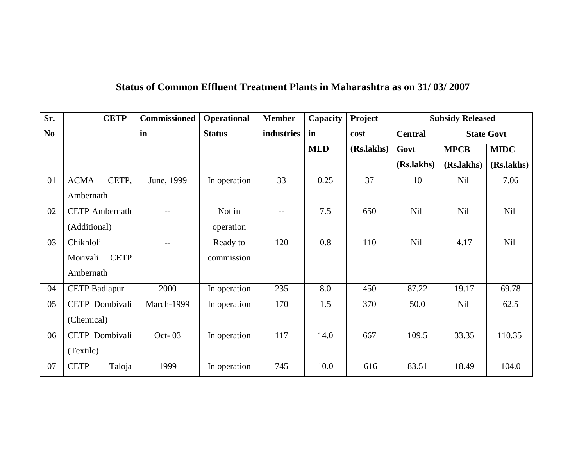## **Status of Common Effluent Treatment Plants in Maharashtra as on 31/ 03/ 2007**

| Sr.            | <b>CETP</b>             | <b>Commissioned</b> | <b>Operational</b> | <b>Member</b> | Capacity   | Project    | <b>Subsidy Released</b>             |             |             |
|----------------|-------------------------|---------------------|--------------------|---------------|------------|------------|-------------------------------------|-------------|-------------|
| N <sub>0</sub> |                         | in                  | <b>Status</b>      | industries    | in         | cost       | <b>State Govt</b><br><b>Central</b> |             |             |
|                |                         |                     |                    |               | <b>MLD</b> | (Rs.lakhs) | Govt                                | <b>MPCB</b> | <b>MIDC</b> |
|                |                         |                     |                    |               |            |            | (Rs.lakhs)                          | (Rs.lakhs)  | (Rs.lakhs)  |
| 01             | <b>ACMA</b><br>CETP,    | June, 1999          | In operation       | 33            | 0.25       | 37         | 10                                  | <b>Nil</b>  | 7.06        |
|                | Ambernath               |                     |                    |               |            |            |                                     |             |             |
| 02             | <b>CETP</b> Ambernath   | $-$                 | Not in             | $- -$         | 7.5        | 650        | <b>Nil</b>                          | <b>Nil</b>  | Nil         |
|                | (Additional)            |                     | operation          |               |            |            |                                     |             |             |
| 03             | Chikhloli               | $-$                 | Ready to           | 120           | 0.8        | 110        | Nil                                 | 4.17        | Nil         |
|                | <b>CETP</b><br>Morivali |                     | commission         |               |            |            |                                     |             |             |
|                | Ambernath               |                     |                    |               |            |            |                                     |             |             |
| 04             | <b>CETP Badlapur</b>    | 2000                | In operation       | 235           | 8.0        | 450        | 87.22                               | 19.17       | 69.78       |
| 05             | CETP Dombivali          | March-1999          | In operation       | 170           | 1.5        | 370        | 50.0                                | <b>Nil</b>  | 62.5        |
|                | (Chemical)              |                     |                    |               |            |            |                                     |             |             |
| 06             | CETP Dombivali          | Oct-03              | In operation       | 117           | 14.0       | 667        | 109.5                               | 33.35       | 110.35      |
|                | (Textile)               |                     |                    |               |            |            |                                     |             |             |
| 07             | <b>CETP</b><br>Taloja   | 1999                | In operation       | 745           | 10.0       | 616        | 83.51                               | 18.49       | 104.0       |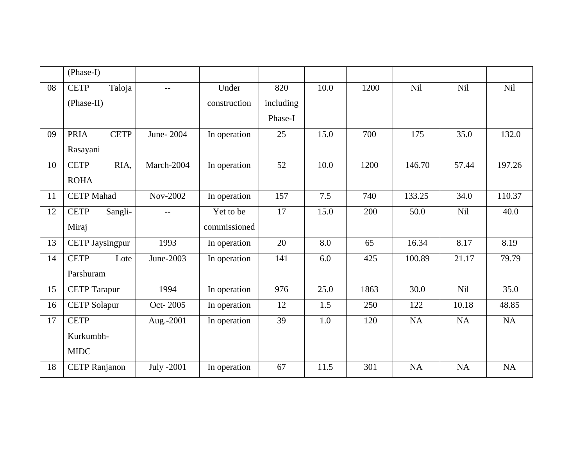|    | (Phase-I)              |             |            |              |           |      |      |            |           |            |
|----|------------------------|-------------|------------|--------------|-----------|------|------|------------|-----------|------------|
| 08 | <b>CETP</b>            | Taloja      | $-$        | Under        | 820       | 10.0 | 1200 | <b>Nil</b> | Nil       | <b>Nil</b> |
|    | (Phase-II)             |             |            | construction | including |      |      |            |           |            |
|    |                        |             |            |              | Phase-I   |      |      |            |           |            |
| 09 | <b>PRIA</b>            | <b>CETP</b> | June-2004  | In operation | 25        | 15.0 | 700  | 175        | 35.0      | 132.0      |
|    | Rasayani               |             |            |              |           |      |      |            |           |            |
| 10 | <b>CETP</b>            | RIA,        | March-2004 | In operation | 52        | 10.0 | 1200 | 146.70     | 57.44     | 197.26     |
|    | <b>ROHA</b>            |             |            |              |           |      |      |            |           |            |
| 11 | <b>CETP</b> Mahad      |             | Nov-2002   | In operation | 157       | 7.5  | 740  | 133.25     | 34.0      | 110.37     |
| 12 | <b>CETP</b>            | Sangli-     | $-$        | Yet to be    | 17        | 15.0 | 200  | 50.0       | Nil       | 40.0       |
|    | Miraj                  |             |            | commissioned |           |      |      |            |           |            |
| 13 | <b>CETP Jaysingpur</b> |             | 1993       | In operation | 20        | 8.0  | 65   | 16.34      | 8.17      | 8.19       |
| 14 | <b>CETP</b>            | Lote        | June-2003  | In operation | 141       | 6.0  | 425  | 100.89     | 21.17     | 79.79      |
|    | Parshuram              |             |            |              |           |      |      |            |           |            |
| 15 | <b>CETP Tarapur</b>    |             | 1994       | In operation | 976       | 25.0 | 1863 | 30.0       | Nil       | 35.0       |
| 16 | <b>CETP</b> Solapur    |             | Oct-2005   | In operation | 12        | 1.5  | 250  | 122        | 10.18     | 48.85      |
| 17 | <b>CETP</b>            |             | Aug.-2001  | In operation | 39        | 1.0  | 120  | <b>NA</b>  | <b>NA</b> | <b>NA</b>  |
|    | Kurkumbh-              |             |            |              |           |      |      |            |           |            |
|    | <b>MIDC</b>            |             |            |              |           |      |      |            |           |            |
| 18 | <b>CETP Ranjanon</b>   |             | July -2001 | In operation | 67        | 11.5 | 301  | <b>NA</b>  | <b>NA</b> | <b>NA</b>  |